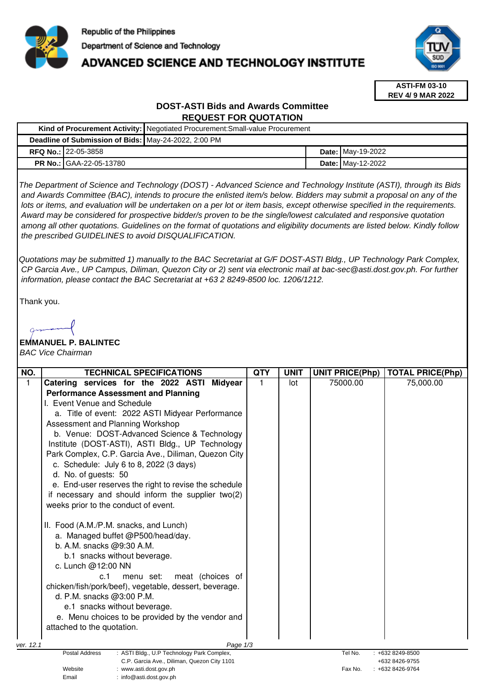

# **ADVANCED SCIENCE AND TECHNOLOGY INSTITUTE**



**ASTI-FM 03-10 REV 4/ 9 MAR 2022**

## **DOST-ASTI Bids and Awards Committee REQUEST FOR QUOTATION**

|  |                                                      | Kind of Procurement Activity:   Negotiated Procurement: Small-value Procurement |  |                          |  |
|--|------------------------------------------------------|---------------------------------------------------------------------------------|--|--------------------------|--|
|  | Deadline of Submission of Bids: May-24-2022, 2:00 PM |                                                                                 |  |                          |  |
|  | <b>RFQ No.: 122-05-3858</b>                          |                                                                                 |  | <b>Date:</b> May-19-2022 |  |
|  | <b>PR No.: GAA-22-05-13780</b>                       |                                                                                 |  | <b>Date: May-12-2022</b> |  |

The Department of Science and Technology (DOST) - Advanced Science and Technology Institute (ASTI), through its Bids and Awards Committee (BAC), intends to procure the enlisted item/s below. Bidders may submit a proposal on any of the lots or items, and evaluation will be undertaken on a per lot or item basis, except otherwise specified in the requirements. Award may be considered for prospective bidder/s proven to be the single/lowest calculated and responsive quotation among all other quotations. Guidelines on the format of quotations and eligibility documents are listed below. Kindly follow the prescribed GUIDELINES to avoid DISQUALIFICATION.

Quotations may be submitted 1) manually to the BAC Secretariat at G/F DOST-ASTI Bldg., UP Technology Park Complex, CP Garcia Ave., UP Campus, Diliman, Quezon City or 2) sent via electronic mail at bac-sec@asti.dost.gov.ph. For further information, please contact the BAC Secretariat at +63 2 8249-8500 loc. 1206/1212.

Thank you.

## **EMMANUEL P. BALINTEC**

BAC Vice Chairman

| NO.          | <b>TECHNICAL SPECIFICATIONS</b>                                          | <b>QTY</b> | <b>UNIT</b> | <b>UNIT PRICE(Php)</b> | <b>TOTAL PRICE(Php)</b> |
|--------------|--------------------------------------------------------------------------|------------|-------------|------------------------|-------------------------|
| $\mathbf{1}$ | Catering services for the 2022 ASTI<br><b>Midyear</b>                    | 1          | lot         | 75000.00               | 75,000.00               |
|              | <b>Performance Assessment and Planning</b>                               |            |             |                        |                         |
|              | I. Event Venue and Schedule                                              |            |             |                        |                         |
|              | a. Title of event: 2022 ASTI Midyear Performance                         |            |             |                        |                         |
|              | Assessment and Planning Workshop                                         |            |             |                        |                         |
|              | b. Venue: DOST-Advanced Science & Technology                             |            |             |                        |                         |
|              | Institute (DOST-ASTI), ASTI Bldg., UP Technology                         |            |             |                        |                         |
|              | Park Complex, C.P. Garcia Ave., Diliman, Quezon City                     |            |             |                        |                         |
|              | c. Schedule: July 6 to 8, 2022 (3 days)                                  |            |             |                        |                         |
|              | d. No. of guests: 50                                                     |            |             |                        |                         |
|              | e. End-user reserves the right to revise the schedule                    |            |             |                        |                         |
|              | if necessary and should inform the supplier two(2)                       |            |             |                        |                         |
|              | weeks prior to the conduct of event.                                     |            |             |                        |                         |
|              |                                                                          |            |             |                        |                         |
|              | II. Food (A.M./P.M. snacks, and Lunch)                                   |            |             |                        |                         |
|              | a. Managed buffet @P500/head/day.                                        |            |             |                        |                         |
|              | b. A.M. snacks @9:30 A.M.                                                |            |             |                        |                         |
|              | b.1 snacks without beverage.                                             |            |             |                        |                         |
|              | c. Lunch @12:00 NN                                                       |            |             |                        |                         |
|              | meat (choices of<br>c.1<br>menu set:                                     |            |             |                        |                         |
|              | chicken/fish/pork/beef), vegetable, dessert, beverage.                   |            |             |                        |                         |
|              | d. P.M. snacks @3:00 P.M.                                                |            |             |                        |                         |
|              | e.1 snacks without beverage.                                             |            |             |                        |                         |
|              | e. Menu choices to be provided by the vendor and                         |            |             |                        |                         |
|              | attached to the quotation.                                               |            |             |                        |                         |
|              |                                                                          |            |             |                        |                         |
| ver. 12.1    | Page 1/3<br>Postal Address<br>: ASTI Bldg., U.P Technology Park Complex, |            |             | Tel No.                | $: +6328249-8500$       |
|              | C.P. Garcia Ave., Diliman, Quezon City 1101                              |            |             |                        | +632 8426-9755          |
|              | Website<br>: www.asti.dost.gov.ph                                        |            |             | Fax No.                | : +632 8426-9764        |
|              | Email<br>: info@asti.dost.gov.ph                                         |            |             |                        |                         |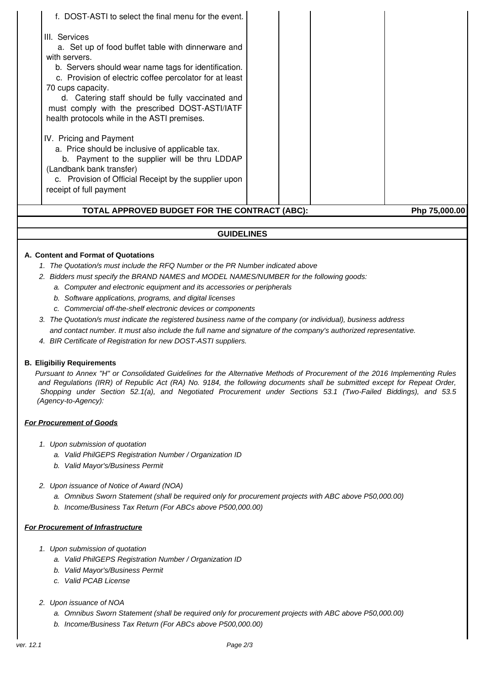| TOTAL APPROVED BUDGET FOR THE CONTRACT (ABC):                                                                                                                                                                                                                                                                                                                                                                          |  | Php 75,000.00 |
|------------------------------------------------------------------------------------------------------------------------------------------------------------------------------------------------------------------------------------------------------------------------------------------------------------------------------------------------------------------------------------------------------------------------|--|---------------|
| 70 cups capacity.<br>d. Catering staff should be fully vaccinated and<br>must comply with the prescribed DOST-ASTI/IATF<br>health protocols while in the ASTI premises.<br>IV. Pricing and Payment<br>a. Price should be inclusive of applicable tax.<br>b. Payment to the supplier will be thru LDDAP<br>(Landbank bank transfer)<br>c. Provision of Official Receipt by the supplier upon<br>receipt of full payment |  |               |
| f. DOST-ASTI to select the final menu for the event.<br>III. Services<br>a. Set up of food buffet table with dinnerware and<br>with servers.<br>b. Servers should wear name tags for identification.<br>c. Provision of electric coffee percolator for at least                                                                                                                                                        |  |               |

#### **GUIDELINES**

#### **A. Content and Format of Quotations**

- 1. The Quotation/s must include the RFQ Number or the PR Number indicated above
- 2. Bidders must specify the BRAND NAMES and MODEL NAMES/NUMBER for the following goods:
	- a. Computer and electronic equipment and its accessories or peripherals
	- b. Software applications, programs, and digital licenses
	- c. Commercial off-the-shelf electronic devices or components
- 3. The Quotation/s must indicate the registered business name of the company (or individual), business address and contact number. It must also include the full name and signature of the company's authorized representative.
- 4. BIR Certificate of Registration for new DOST-ASTI suppliers.

#### **B. Eligibiliy Requirements**

Pursuant to Annex "H" or Consolidated Guidelines for the Alternative Methods of Procurement of the 2016 Implementing Rules and Regulations (IRR) of Republic Act (RA) No. 9184, the following documents shall be submitted except for Repeat Order, Shopping under Section 52.1(a), and Negotiated Procurement under Sections 53.1 (Two-Failed Biddings), and 53.5 (Agency-to-Agency):

#### **For Procurement of Goods**

- 1. Upon submission of quotation
	- a. Valid PhilGEPS Registration Number / Organization ID
	- b. Valid Mayor's/Business Permit
- 2. Upon issuance of Notice of Award (NOA)
	- a. Omnibus Sworn Statement (shall be required only for procurement projects with ABC above P50,000.00)
	- b. Income/Business Tax Return (For ABCs above P500,000.00)

#### **For Procurement of Infrastructure**

- 1. Upon submission of quotation
	- a. Valid PhilGEPS Registration Number / Organization ID
	- b. Valid Mayor's/Business Permit
	- c. Valid PCAB License

### 2. Upon issuance of NOA

- a. Omnibus Sworn Statement (shall be required only for procurement projects with ABC above P50,000.00)
- b. Income/Business Tax Return (For ABCs above P500,000.00)